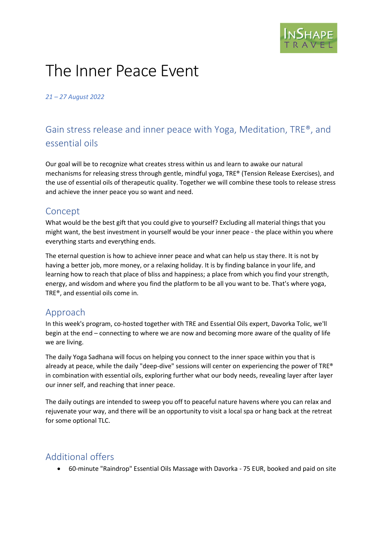# The Inner Peace Event

*21 – 27 August 2022*

# Gain stress release and inner peace with Yoga, Meditation, TRE®, and essential oils

Our goal will be to recognize what creates stress within us and learn to awake our natural mechanisms for releasing stress through gentle, mindful yoga, TRE® (Tension Release Exercises), and the use of essential oils of therapeutic quality. Together we will combine these tools to release stress and achieve the inner peace you so want and need.

### Concept

What would be the best gift that you could give to yourself? Excluding all material things that you might want, the best investment in yourself would be your inner peace - the place within you where everything starts and everything ends.

The eternal question is how to achieve inner peace and what can help us stay there. It is not by having a better job, more money, or a relaxing holiday. It is by finding balance in your life, and learning how to reach that place of bliss and happiness; a place from which you find your strength, energy, and wisdom and where you find the platform to be all you want to be. That's where yoga, TRE®, and essential oils come in.

### Approach

In this week's program, co-hosted together with TRE and Essential Oils expert, Davorka Tolic, we'll begin at the end – connecting to where we are now and becoming more aware of the quality of life we are living.

The daily Yoga Sadhana will focus on helping you connect to the inner space within you that is already at peace, while the daily "deep-dive" sessions will center on experiencing the power of TRE® in combination with essential oils, exploring further what our body needs, revealing layer after layer our inner self, and reaching that inner peace.

The daily outings are intended to sweep you off to peaceful nature havens where you can relax and rejuvenate your way, and there will be an opportunity to visit a local spa or hang back at the retreat for some optional TLC.

# Additional offers

• 60-minute "Raindrop" Essential Oils Massage with Davorka - 75 EUR, booked and paid on site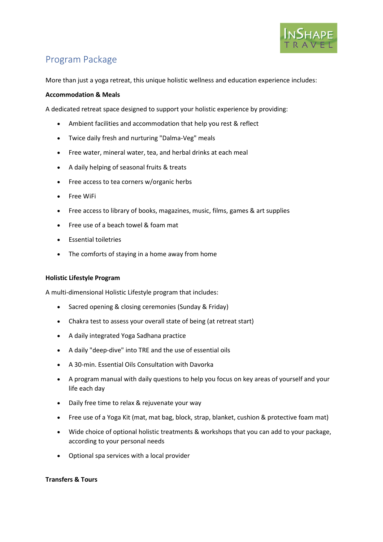

## Program Package

More than just a yoga retreat, this unique holistic wellness and education experience includes:

### **Accommodation & Meals**

A dedicated retreat space designed to support your holistic experience by providing:

- Ambient facilities and accommodation that help you rest & reflect
- Twice daily fresh and nurturing "Dalma-Veg" meals
- Free water, mineral water, tea, and herbal drinks at each meal
- A daily helping of seasonal fruits & treats
- Free access to tea corners w/organic herbs
- Free WiFi
- Free access to library of books, magazines, music, films, games & art supplies
- Free use of a beach towel & foam mat
- Essential toiletries
- The comforts of staying in a home away from home

### **Holistic Lifestyle Program**

A multi-dimensional Holistic Lifestyle program that includes:

- Sacred opening & closing ceremonies (Sunday & Friday)
- Chakra test to assess your overall state of being (at retreat start)
- A daily integrated Yoga Sadhana practice
- A daily "deep-dive" into TRE and the use of essential oils
- A 30-min. Essential Oils Consultation with Davorka
- A program manual with daily questions to help you focus on key areas of yourself and your life each day
- Daily free time to relax & rejuvenate your way
- Free use of a Yoga Kit (mat, mat bag, block, strap, blanket, cushion & protective foam mat)
- Wide choice of optional holistic treatments & workshops that you can add to your package, according to your personal needs
- Optional spa services with a local provider

### **Transfers & Tours**